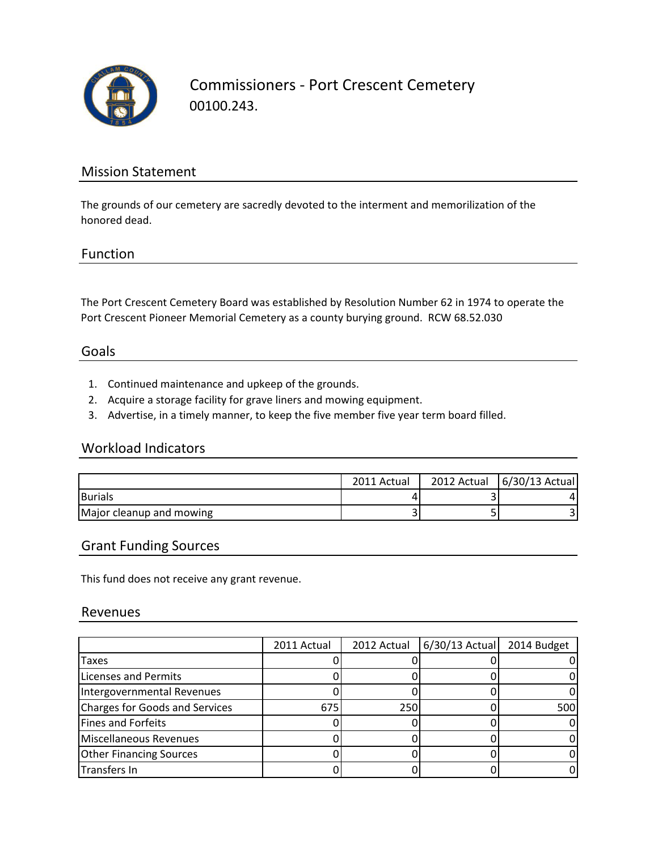

Commissioners - Port Crescent Cemetery 00100.243.

# Mission Statement

The grounds of our cemetery are sacredly devoted to the interment and memorilization of the honored dead.

### Function

The Port Crescent Cemetery Board was established by Resolution Number 62 in 1974 to operate the Port Crescent Pioneer Memorial Cemetery as a county burying ground. RCW 68.52.030

### Goals

- 1. Continued maintenance and upkeep of the grounds.
- 2. Acquire a storage facility for grave liners and mowing equipment.
- 3. Advertise, in a timely manner, to keep the five member five year term board filled.

### Workload Indicators

|                          | 2011 Actual | 2012 Actual 6/30/13 Actual |
|--------------------------|-------------|----------------------------|
| <b>Burials</b>           |             |                            |
| Major cleanup and mowing |             |                            |

# Grant Funding Sources

This fund does not receive any grant revenue.

#### Revenues

|                                | 2011 Actual | 2012 Actual | $6/30/13$ Actual | 2014 Budget |
|--------------------------------|-------------|-------------|------------------|-------------|
| Taxes                          |             |             |                  |             |
| <b>Licenses and Permits</b>    |             |             |                  |             |
| Intergovernmental Revenues     |             |             |                  |             |
| Charges for Goods and Services | 675         | 250         |                  | 500         |
| <b>Fines and Forfeits</b>      |             |             |                  |             |
| Miscellaneous Revenues         |             |             |                  |             |
| <b>Other Financing Sources</b> |             |             |                  |             |
| Transfers In                   |             |             |                  |             |